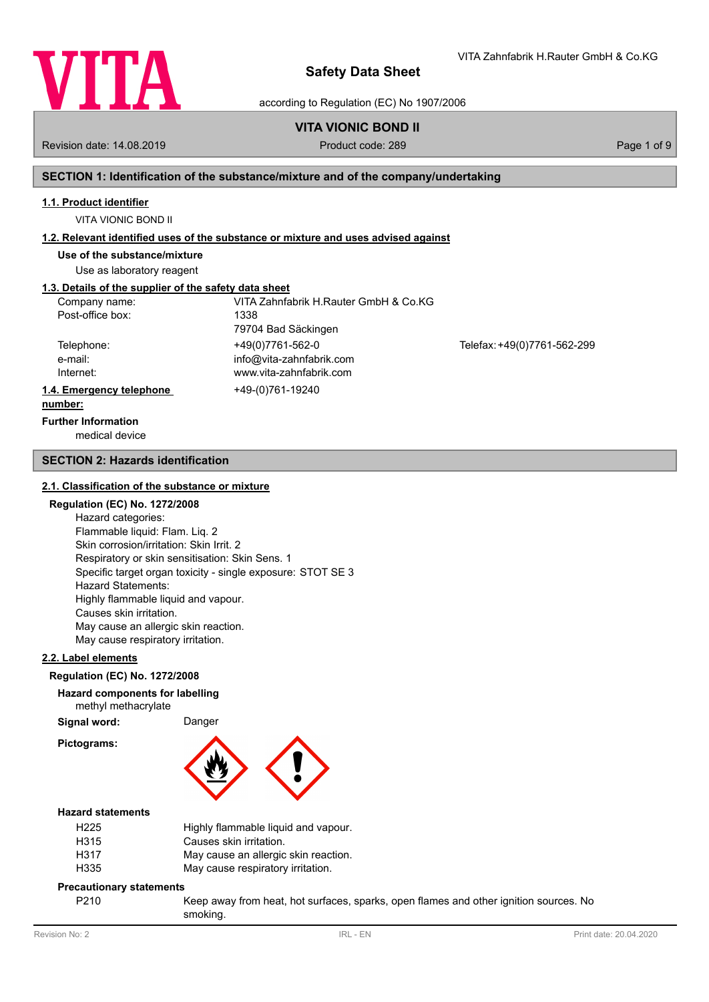

VITA Zahnfabrik H.Rauter GmbH & Co.KG

according to Regulation (EC) No 1907/2006

## **VITA VIONIC BOND II**

Revision date: 14.08.2019 **Product code: 289** Product code: 289 **Page 1 of 9** Page 1 of 9

## **SECTION 1: Identification of the substance/mixture and of the company/undertaking**

## **1.1. Product identifier**

VITA VIONIC BOND II

#### **1.2. Relevant identified uses of the substance or mixture and uses advised against**

**Use of the substance/mixture**

Use as laboratory reagent

## **1.3. Details of the supplier of the safety data sheet**

| Company name:            | VITA Zahnfabrik H.Rauter GmbH & Co.KG |                             |
|--------------------------|---------------------------------------|-----------------------------|
| Post-office box:         | 1338                                  |                             |
|                          | 79704 Bad Säckingen                   |                             |
| Telephone:               | +49(0)7761-562-0                      | Telefax: +49(0)7761-562-299 |
| e-mail:                  | info@vita-zahnfabrik.com              |                             |
| Internet:                | www.vita-zahnfabrik.com               |                             |
| 1.4. Emergency telephone | +49-(0)761-19240                      |                             |
| number:                  |                                       |                             |

# **Further Information**

medical device

### **SECTION 2: Hazards identification**

#### **2.1. Classification of the substance or mixture**

## **Regulation (EC) No. 1272/2008**

Hazard categories: Flammable liquid: Flam. Liq. 2 Skin corrosion/irritation: Skin Irrit. 2 Respiratory or skin sensitisation: Skin Sens. 1 Specific target organ toxicity - single exposure: STOT SE 3 Hazard Statements: Highly flammable liquid and vapour. Causes skin irritation. May cause an allergic skin reaction. May cause respiratory irritation.

### **2.2. Label elements**

#### **Regulation (EC) No. 1272/2008**

## **Hazard components for labelling**

methyl methacrylate

## Signal word: Danger

**Pictograms:**



#### **Hazard statements**

| H <sub>225</sub> | Highly flammable liquid and vapour.  |
|------------------|--------------------------------------|
| H315             | Causes skin irritation.              |
| H317             | May cause an allergic skin reaction. |
| H335             | May cause respiratory irritation.    |

#### **Precautionary statements**

P210 Keep away from heat, hot surfaces, sparks, open flames and other ignition sources. No smoking.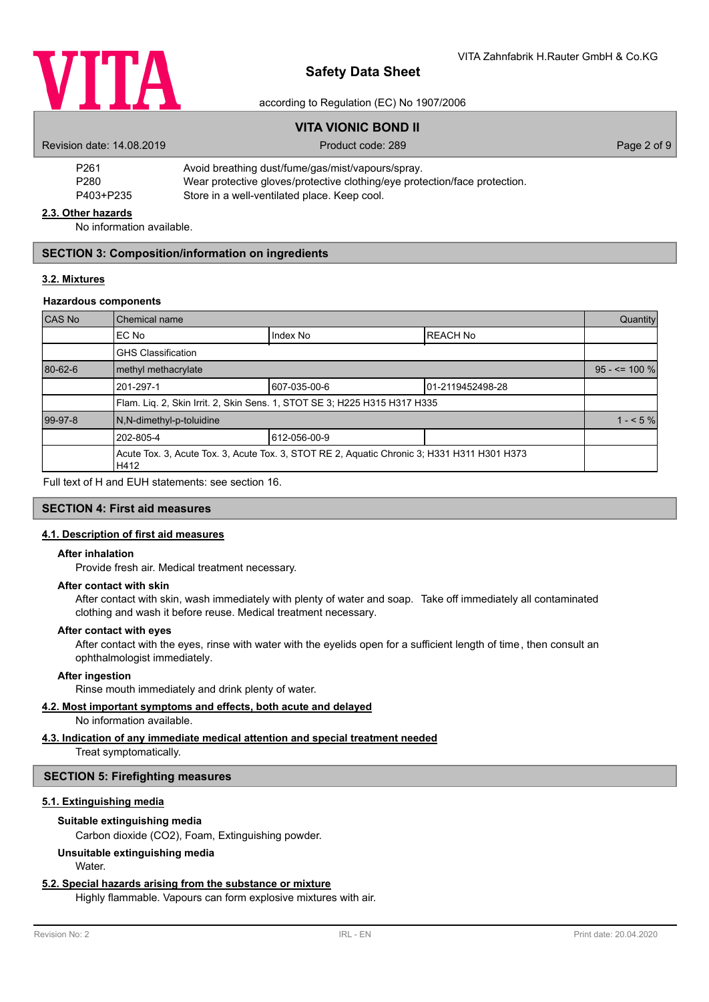

#### according to Regulation (EC) No 1907/2006

|                                                                                                | <b>VITA VIONIC BOND II</b>                        |             |
|------------------------------------------------------------------------------------------------|---------------------------------------------------|-------------|
| Revision date: 14.08.2019                                                                      | Product code: 289                                 | Page 2 of 9 |
| P <sub>261</sub>                                                                               | Avoid breathing dust/fume/gas/mist/vapours/spray. |             |
| Wear protective gloves/protective clothing/eye protection/face protection.<br>P <sub>280</sub> |                                                   |             |
| P403+P235                                                                                      | Store in a well-ventilated place. Keep cool.      |             |

#### **2.3. Other hazards**

No information available.

#### **SECTION 3: Composition/information on ingredients**

## **3.2. Mixtures**

### **Hazardous components**

| CAS No  | Chemical name             |                                                                                             |                  | Quantity          |
|---------|---------------------------|---------------------------------------------------------------------------------------------|------------------|-------------------|
|         | EC No                     | Index No                                                                                    | <b>REACH No</b>  |                   |
|         | <b>GHS Classification</b> |                                                                                             |                  |                   |
| 80-62-6 | methyl methacrylate       |                                                                                             |                  | $95 - 5 = 100 \%$ |
|         | 201-297-1                 | 607-035-00-6                                                                                | 01-2119452498-28 |                   |
|         |                           | Flam. Liq. 2, Skin Irrit. 2, Skin Sens. 1, STOT SE 3; H225 H315 H317 H335                   |                  |                   |
| 99-97-8 | N,N-dimethyl-p-toluidine  |                                                                                             |                  | $1 - 5\%$         |
|         | 202-805-4                 | 612-056-00-9                                                                                |                  |                   |
|         | H412                      | Acute Tox. 3, Acute Tox. 3, Acute Tox. 3, STOT RE 2, Aquatic Chronic 3; H331 H311 H301 H373 |                  |                   |

Full text of H and EUH statements: see section 16.

## **SECTION 4: First aid measures**

## **4.1. Description of first aid measures**

#### **After inhalation**

Provide fresh air. Medical treatment necessary.

#### **After contact with skin**

After contact with skin, wash immediately with plenty of water and soap. Take off immediately all contaminated clothing and wash it before reuse. Medical treatment necessary.

#### **After contact with eyes**

After contact with the eyes, rinse with water with the eyelids open for a sufficient length of time, then consult an ophthalmologist immediately.

## **After ingestion**

Rinse mouth immediately and drink plenty of water.

## **4.2. Most important symptoms and effects, both acute and delayed**

No information available.

# **4.3. Indication of any immediate medical attention and special treatment needed**

Treat symptomatically.

## **SECTION 5: Firefighting measures**

## **5.1. Extinguishing media**

## **Suitable extinguishing media**

Carbon dioxide (CO2), Foam, Extinguishing powder.

## **Unsuitable extinguishing media**

Water.

## **5.2. Special hazards arising from the substance or mixture**

Highly flammable. Vapours can form explosive mixtures with air.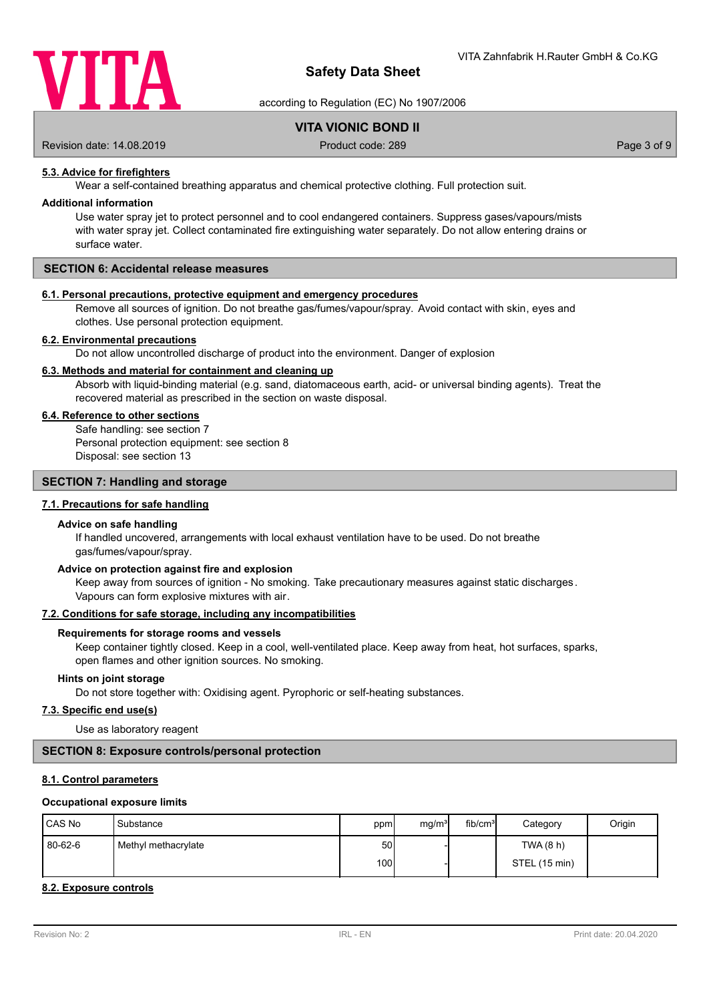

according to Regulation (EC) No 1907/2006

## **VITA VIONIC BOND II**

Revision date: 14.08.2019 **Product code: 289** Product code: 289 **Page 3 of 9** Page 3 of 9

**5.3. Advice for firefighters**

Wear a self-contained breathing apparatus and chemical protective clothing. Full protection suit.

#### **Additional information**

Use water spray jet to protect personnel and to cool endangered containers. Suppress gases/vapours/mists with water spray jet. Collect contaminated fire extinguishing water separately. Do not allow entering drains or surface water.

## **SECTION 6: Accidental release measures**

#### **6.1. Personal precautions, protective equipment and emergency procedures**

Remove all sources of ignition. Do not breathe gas/fumes/vapour/spray. Avoid contact with skin, eyes and clothes. Use personal protection equipment.

## **6.2. Environmental precautions**

Do not allow uncontrolled discharge of product into the environment. Danger of explosion

## **6.3. Methods and material for containment and cleaning up**

Absorb with liquid-binding material (e.g. sand, diatomaceous earth, acid- or universal binding agents). Treat the recovered material as prescribed in the section on waste disposal.

## **6.4. Reference to other sections**

Safe handling: see section 7 Personal protection equipment: see section 8 Disposal: see section 13

## **SECTION 7: Handling and storage**

## **7.1. Precautions for safe handling**

#### **Advice on safe handling**

If handled uncovered, arrangements with local exhaust ventilation have to be used. Do not breathe gas/fumes/vapour/spray.

#### **Advice on protection against fire and explosion**

Keep away from sources of ignition - No smoking. Take precautionary measures against static discharges. Vapours can form explosive mixtures with air.

### **7.2. Conditions for safe storage, including any incompatibilities**

#### **Requirements for storage rooms and vessels**

Keep container tightly closed. Keep in a cool, well-ventilated place. Keep away from heat, hot surfaces, sparks, open flames and other ignition sources. No smoking.

#### **Hints on joint storage**

Do not store together with: Oxidising agent. Pyrophoric or self-heating substances.

#### **7.3. Specific end use(s)**

Use as laboratory reagent

### **SECTION 8: Exposure controls/personal protection**

#### **8.1. Control parameters**

#### **Occupational exposure limits**

| <b>CAS No</b> | Substance           | ppm  | mg/m <sup>3</sup> | fib/cm <sup>3</sup> | Category      | Origin |
|---------------|---------------------|------|-------------------|---------------------|---------------|--------|
| 80-62-6       | Methyl methacrylate | 50   |                   |                     | TWA (8 h)     |        |
|               |                     | 100l |                   |                     | STEL (15 min) |        |

#### **8.2. Exposure controls**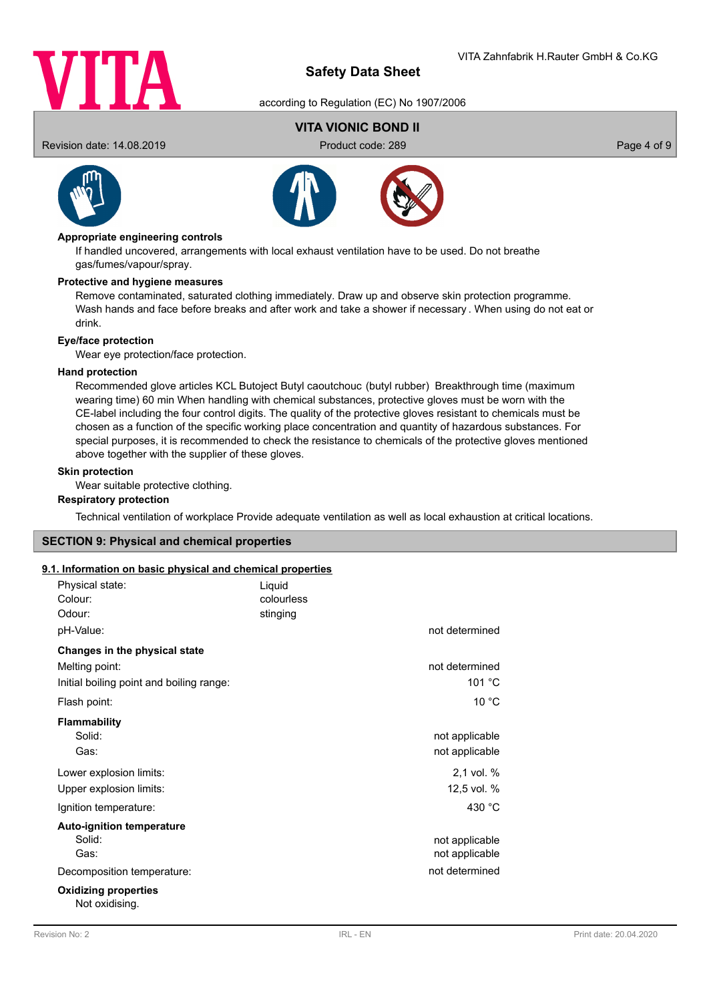

according to Regulation (EC) No 1907/2006

# **VITA VIONIC BOND II**

Revision date: 14.08.2019 **Product code: 289** Product code: 289 **Page 4 of 9** Page 4 of 9





## **Appropriate engineering controls**

If handled uncovered, arrangements with local exhaust ventilation have to be used. Do not breathe gas/fumes/vapour/spray.

#### **Protective and hygiene measures**

Remove contaminated, saturated clothing immediately. Draw up and observe skin protection programme. Wash hands and face before breaks and after work and take a shower if necessary . When using do not eat or drink.

## **Eye/face protection**

Wear eye protection/face protection.

#### **Hand protection**

Recommended glove articles KCL Butoject Butyl caoutchouc (butyl rubber) Breakthrough time (maximum wearing time) 60 min When handling with chemical substances, protective gloves must be worn with the CE-label including the four control digits. The quality of the protective gloves resistant to chemicals must be chosen as a function of the specific working place concentration and quantity of hazardous substances. For special purposes, it is recommended to check the resistance to chemicals of the protective gloves mentioned above together with the supplier of these gloves.

## **Skin protection**

Wear suitable protective clothing.

#### **Respiratory protection**

Technical ventilation of workplace Provide adequate ventilation as well as local exhaustion at critical locations.

## **SECTION 9: Physical and chemical properties**

## **9.1. Information on basic physical and chemical properties**

| Physical state:                               | Liquid     |                  |
|-----------------------------------------------|------------|------------------|
| Colour:                                       | colourless |                  |
| Odour:                                        | stinging   |                  |
| pH-Value:                                     |            | not determined   |
| Changes in the physical state                 |            |                  |
| Melting point:                                |            | not determined   |
| Initial boiling point and boiling range:      |            | 101 °C           |
| Flash point:                                  |            | 10 °C            |
| <b>Flammability</b>                           |            |                  |
| Solid:                                        |            | not applicable   |
| Gas:                                          |            | not applicable   |
| Lower explosion limits:                       |            | 2,1 vol. %       |
| Upper explosion limits:                       |            | 12,5 vol. %      |
| Ignition temperature:                         |            | 430 $^{\circ}$ C |
| <b>Auto-ignition temperature</b>              |            |                  |
| Solid:                                        |            | not applicable   |
| Gas:                                          |            | not applicable   |
| Decomposition temperature:                    |            | not determined   |
| <b>Oxidizing properties</b><br>Not oxidising. |            |                  |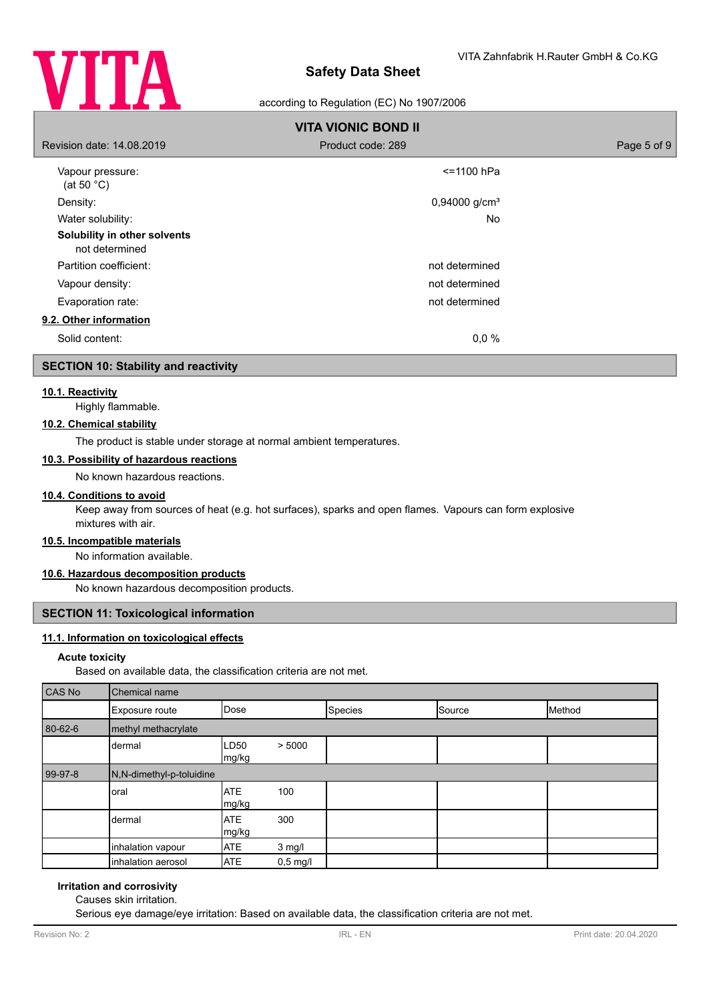

## according to Regulation (EC) No 1907/2006

|                                                | <b>VITA VIONIC BOND II</b> |             |
|------------------------------------------------|----------------------------|-------------|
| Revision date: 14.08.2019                      | Product code: 289          | Page 5 of 9 |
| Vapour pressure:<br>(at 50 $^{\circ}$ C)       | $\le$ = 1100 hPa           |             |
| Density:                                       | 0,94000 g/cm <sup>3</sup>  |             |
| Water solubility:                              | No.                        |             |
| Solubility in other solvents<br>not determined |                            |             |
| Partition coefficient:                         | not determined             |             |
| Vapour density:                                | not determined             |             |
| Evaporation rate:                              | not determined             |             |
| 9.2. Other information                         |                            |             |
| Solid content:                                 | $0.0 \%$                   |             |

## **SECTION 10: Stability and reactivity**

## **10.1. Reactivity**

Highly flammable.

## **10.2. Chemical stability**

The product is stable under storage at normal ambient temperatures.

## **10.3. Possibility of hazardous reactions**

No known hazardous reactions.

## **10.4. Conditions to avoid**

Keep away from sources of heat (e.g. hot surfaces), sparks and open flames. Vapours can form explosive mixtures with air.

# **10.5. Incompatible materials**

No information available.

## **10.6. Hazardous decomposition products**

No known hazardous decomposition products.

### **SECTION 11: Toxicological information**

#### **11.1. Information on toxicological effects**

#### **Acute toxicity**

Based on available data, the classification criteria are not met.

| CAS No  | Chemical name            |                     |            |         |        |        |
|---------|--------------------------|---------------------|------------|---------|--------|--------|
|         | Exposure route           | Dose                |            | Species | Source | Method |
| 80-62-6 | methyl methacrylate      |                     |            |         |        |        |
|         | dermal                   | LD50<br>mg/kg       | > 5000     |         |        |        |
| 99-97-8 | N,N-dimethyl-p-toluidine |                     |            |         |        |        |
|         | oral                     | <b>ATE</b><br>mg/kg | 100        |         |        |        |
|         | dermal                   | <b>ATE</b><br>mg/kg | 300        |         |        |        |
|         | inhalation vapour        | <b>ATE</b>          | $3$ mg/l   |         |        |        |
|         | inhalation aerosol       | <b>ATE</b>          | $0,5$ mg/l |         |        |        |

## **Irritation and corrosivity**

Causes skin irritation.

Serious eye damage/eye irritation: Based on available data, the classification criteria are not met.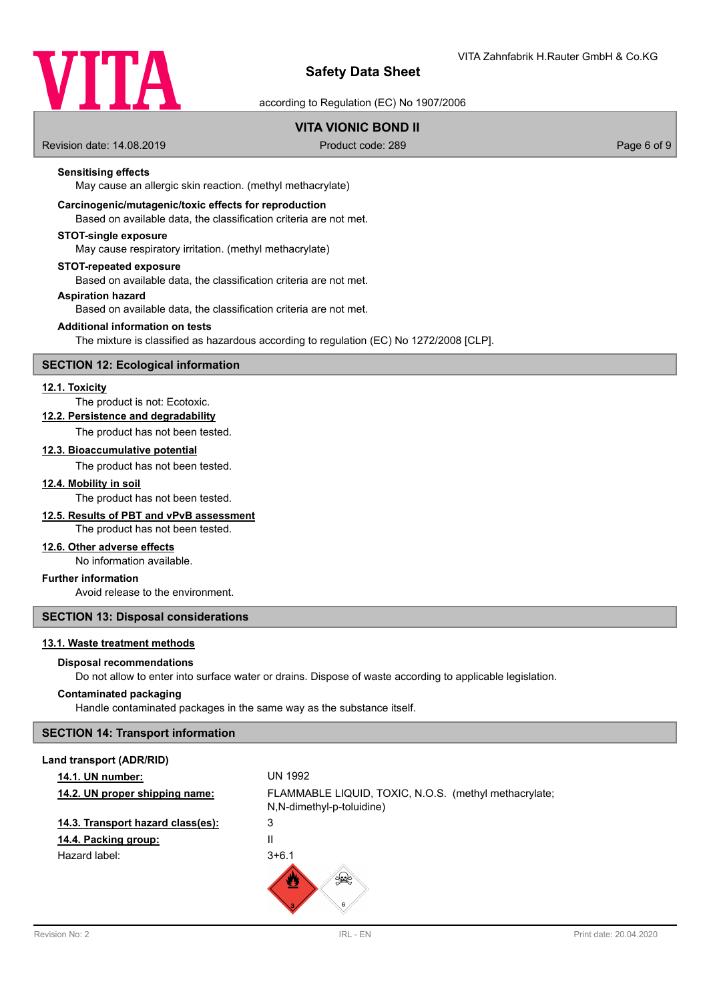

according to Regulation (EC) No 1907/2006

## **VITA VIONIC BOND II**

Revision date: 14.08.2019 **Product code: 289** Product code: 289 **Page 6 of 9** Page 6 of 9

## **Sensitising effects**

May cause an allergic skin reaction. (methyl methacrylate)

## **Carcinogenic/mutagenic/toxic effects for reproduction**

Based on available data, the classification criteria are not met.

#### **STOT-single exposure**

May cause respiratory irritation. (methyl methacrylate)

#### **STOT-repeated exposure**

Based on available data, the classification criteria are not met.

#### **Aspiration hazard**

Based on available data, the classification criteria are not met.

#### **Additional information on tests**

The mixture is classified as hazardous according to regulation (EC) No 1272/2008 [CLP].

## **SECTION 12: Ecological information**

## **12.1. Toxicity**

The product is not: Ecotoxic.

**12.2. Persistence and degradability**

The product has not been tested.

#### **12.3. Bioaccumulative potential**

The product has not been tested.

#### **12.4. Mobility in soil**

The product has not been tested.

### **12.5. Results of PBT and vPvB assessment**

The product has not been tested.

## **12.6. Other adverse effects**

No information available.

## **Further information**

Avoid release to the environment.

## **SECTION 13: Disposal considerations**

#### **13.1. Waste treatment methods**

#### **Disposal recommendations**

Do not allow to enter into surface water or drains. Dispose of waste according to applicable legislation.

#### **Contaminated packaging**

Handle contaminated packages in the same way as the substance itself.

## **SECTION 14: Transport information**

| Land transport (ADR/RID)          |                                                                                    |
|-----------------------------------|------------------------------------------------------------------------------------|
| <b>14.1. UN number:</b>           | <b>UN 1992</b>                                                                     |
| 14.2. UN proper shipping name:    | FLAMMABLE LIQUID, TOXIC, N.O.S. (methyl methacrylate;<br>N,N-dimethyl-p-toluidine) |
| 14.3. Transport hazard class(es): | 3                                                                                  |
| 14.4. Packing group:              | Ш                                                                                  |
| Hazard label:                     | $3+6.1$                                                                            |
|                                   | ₩<br>⋓                                                                             |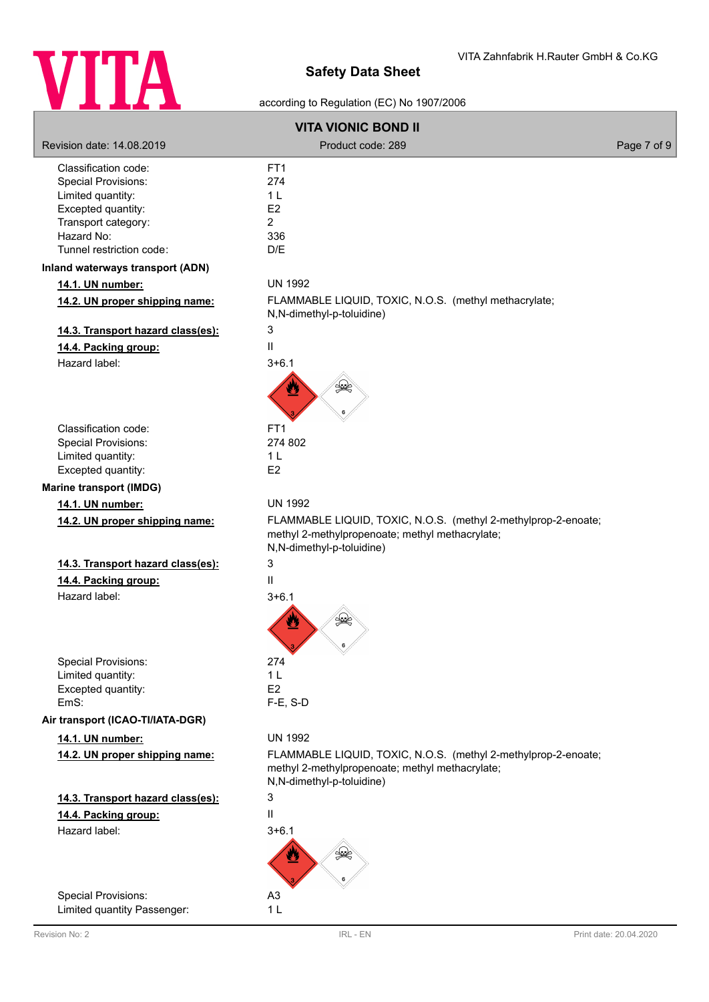

according to Regulation (EC) No 1907/2006

|                                         | <b>VITA VIONIC BOND II</b>                                                                                                                      |             |
|-----------------------------------------|-------------------------------------------------------------------------------------------------------------------------------------------------|-------------|
| Revision date: 14.08.2019               | Product code: 289                                                                                                                               | Page 7 of 9 |
| Classification code:                    | FT <sub>1</sub>                                                                                                                                 |             |
| <b>Special Provisions:</b>              | 274                                                                                                                                             |             |
| Limited quantity:<br>Excepted quantity: | 1 <sub>L</sub><br>E <sub>2</sub>                                                                                                                |             |
| Transport category:                     | $\overline{2}$                                                                                                                                  |             |
| Hazard No:                              | 336                                                                                                                                             |             |
| Tunnel restriction code:                | D/E                                                                                                                                             |             |
| Inland waterways transport (ADN)        |                                                                                                                                                 |             |
| 14.1. UN number:                        | <b>UN 1992</b>                                                                                                                                  |             |
| 14.2. UN proper shipping name:          | FLAMMABLE LIQUID, TOXIC, N.O.S. (methyl methacrylate;<br>N,N-dimethyl-p-toluidine)                                                              |             |
| 14.3. Transport hazard class(es):       | 3                                                                                                                                               |             |
| 14.4. Packing group:                    | Ш                                                                                                                                               |             |
| Hazard label:                           | $3 + 6.1$                                                                                                                                       |             |
|                                         | ں<br>₩                                                                                                                                          |             |
| Classification code:                    | FT <sub>1</sub>                                                                                                                                 |             |
| <b>Special Provisions:</b>              | 274 802                                                                                                                                         |             |
| Limited quantity:                       | 1 <sub>L</sub>                                                                                                                                  |             |
| Excepted quantity:                      | E <sub>2</sub>                                                                                                                                  |             |
| <b>Marine transport (IMDG)</b>          |                                                                                                                                                 |             |
| 14.1. UN number:                        | <b>UN 1992</b>                                                                                                                                  |             |
| 14.2. UN proper shipping name:          | FLAMMABLE LIQUID, TOXIC, N.O.S. (methyl 2-methylprop-2-enoate;<br>methyl 2-methylpropenoate; methyl methacrylate;<br>N, N-dimethyl-p-toluidine) |             |
| 14.3. Transport hazard class(es):       | 3                                                                                                                                               |             |
| 14.4. Packing group:                    | Ш                                                                                                                                               |             |
| Hazard label:                           | $3 + 6.1$                                                                                                                                       |             |
|                                         | ≸≹<br>♨<br>V                                                                                                                                    |             |
| <b>Special Provisions:</b>              | 274                                                                                                                                             |             |
| Limited quantity:                       | 1 <sub>L</sub><br>E <sub>2</sub>                                                                                                                |             |
| Excepted quantity:<br>EmS:              | $F-E$ , S-D                                                                                                                                     |             |
| Air transport (ICAO-TI/IATA-DGR)        |                                                                                                                                                 |             |
| 14.1. UN number:                        | <b>UN 1992</b>                                                                                                                                  |             |
| 14.2. UN proper shipping name:          | FLAMMABLE LIQUID, TOXIC, N.O.S. (methyl 2-methylprop-2-enoate;<br>methyl 2-methylpropenoate; methyl methacrylate;<br>N,N-dimethyl-p-toluidine)  |             |
| 14.3. Transport hazard class(es):       | 3                                                                                                                                               |             |
| 14.4. Packing group:                    | Ш                                                                                                                                               |             |
| Hazard label:                           | $3 + 6.1$                                                                                                                                       |             |
|                                         | <b>SEE</b><br>♨                                                                                                                                 |             |
| <b>Special Provisions:</b>              | A <sub>3</sub>                                                                                                                                  |             |
| Limited quantity Passenger:             | 1 <sub>L</sub>                                                                                                                                  |             |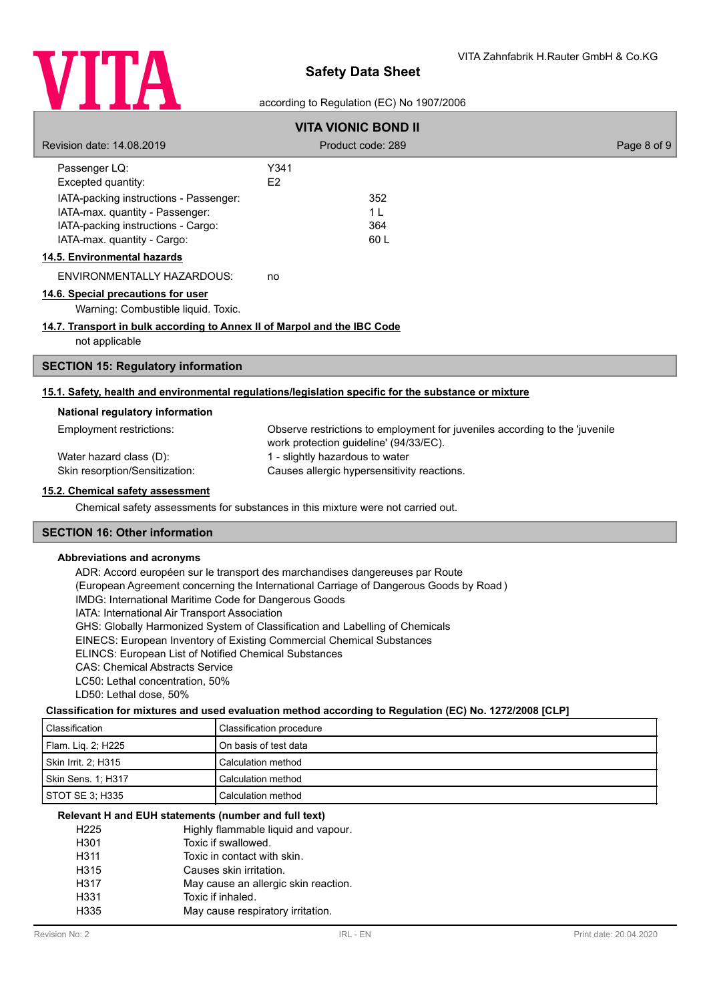

## according to Regulation (EC) No 1907/2006

|                                                                          | <b>VITA VIONIC BOND II</b>                                                                           |             |
|--------------------------------------------------------------------------|------------------------------------------------------------------------------------------------------|-------------|
| Revision date: 14.08.2019                                                | Product code: 289                                                                                    | Page 8 of 9 |
| Passenger LQ:                                                            | Y341                                                                                                 |             |
| Excepted quantity:                                                       | E <sub>2</sub>                                                                                       |             |
| IATA-packing instructions - Passenger:                                   | 352                                                                                                  |             |
| IATA-max. quantity - Passenger:                                          | 1 <sup>L</sup>                                                                                       |             |
| IATA-packing instructions - Cargo:                                       | 364                                                                                                  |             |
| IATA-max. quantity - Cargo:                                              | 60L                                                                                                  |             |
| 14.5. Environmental hazards                                              |                                                                                                      |             |
| <b>ENVIRONMENTALLY HAZARDOUS:</b>                                        | no                                                                                                   |             |
| 14.6. Special precautions for user                                       |                                                                                                      |             |
| Warning: Combustible liquid. Toxic.                                      |                                                                                                      |             |
| 14.7. Transport in bulk according to Annex II of Marpol and the IBC Code |                                                                                                      |             |
| not applicable                                                           |                                                                                                      |             |
| <b>SECTION 15: Regulatory information</b>                                |                                                                                                      |             |
|                                                                          | 15.1. Safety, health and environmental regulations/legislation specific for the substance or mixture |             |
| National regulatory information                                          |                                                                                                      |             |
| Employment restrictions:                                                 | Observe restrictions to employment for juveniles according to the 'juvenile                          |             |
|                                                                          | work protection guideline' (94/33/EC).                                                               |             |
| Water hazard class (D):                                                  | 1 - slightly hazardous to water                                                                      |             |
| Skin resorption/Sensitization:                                           | Causes allergic hypersensitivity reactions.                                                          |             |
| 15.2. Chemical safety assessment                                         |                                                                                                      |             |
|                                                                          | Chemical safety assessments for substances in this mixture were not carried out.                     |             |
| <b>SECTION 16: Other information</b>                                     |                                                                                                      |             |
| <b>Abbreviations and acronyms</b>                                        |                                                                                                      |             |

## ADR: Accord européen sur le transport des marchandises dangereuses par Route (European Agreement concerning the International Carriage of Dangerous Goods by Road ) IMDG: International Maritime Code for Dangerous Goods IATA: International Air Transport Association GHS: Globally Harmonized System of Classification and Labelling of Chemicals EINECS: European Inventory of Existing Commercial Chemical Substances ELINCS: European List of Notified Chemical Substances CAS: Chemical Abstracts Service LC50: Lethal concentration, 50%

LD50: Lethal dose, 50%

### **Classification for mixtures and used evaluation method according to Regulation (EC) No. 1272/2008 [CLP]**

| l Classification    | Classification procedure |
|---------------------|--------------------------|
| Flam. Lig. 2; H225  | On basis of test data    |
| Skin Irrit. 2: H315 | Calculation method       |
| Skin Sens. 1; H317  | Calculation method       |
| STOT SE 3: H335     | Calculation method       |

#### **Relevant H and EUH statements (number and full text)**

| H <sub>225</sub> | Highly flammable liquid and vapour.  |
|------------------|--------------------------------------|
| H <sub>301</sub> | Toxic if swallowed.                  |
| H <sub>311</sub> | Toxic in contact with skin.          |
| H315             | Causes skin irritation.              |
| H317             | May cause an allergic skin reaction. |
| H331             | Toxic if inhaled.                    |
| H335             | May cause respiratory irritation.    |
|                  |                                      |